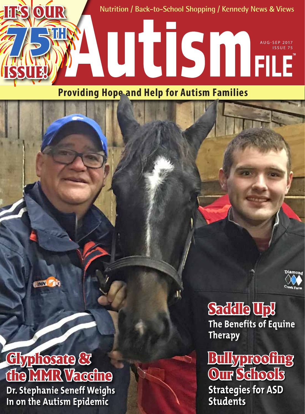

### **Providing Hope and Help for Autism Families**

**ENN STATE** 

## Glyphosate & dhe IXIXIR Vaccine

**Dr. Stephanie Seneff Weighs In on the Autism Epidemic** 

Saddle Up! **The Benefits of Equine Therapy** 

Bullyproofing Our Schools **Strategies for ASD Students**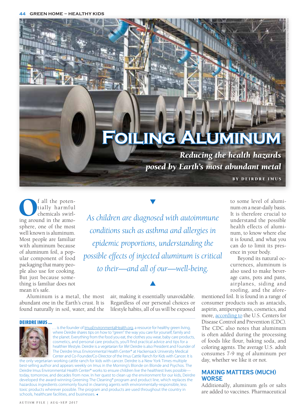# **Foiling Aluminum**

*Reducing the health hazards posed by Earth's most abundant metal*

BY DEIRDRE IMUS

© Pavel Losevsky / AdobeStock

 $\begin{tabular}{|c|c|} \hline & fall the poten-  
tially harmful  
chemicals swirl-  
ing around in the atmos$ tially harmful chemicals swirlsphere, one of the most well known is aluminum. Most people are familiar with aluminum because of aluminum foil, a popular component of food packaging that many people also use for cooking. But just because something is familiar does not mean it's safe.

*As children are diagnosed with autoimmune conditions such as asthma and allergies in epidemic proportions, understanding the possible effects of injected aluminum is critical to their—and all of our—well-being.*

Aluminum is a metal, the most abundant one in the Earth's crust. It is found naturally in soil, water, and the

air, making it essentially unavoidable. Regardless of our personal choices or lifestyle habits, all of us will be exposed

 $\blacktriangle$ 

#### Deirdre Imus ...



is the founder of [ImusEnvironmentalHealth.org](http://www.ImusEnvironmentalHealth.org), a resource for healthy green living, where Deirdre shares tips on how to "green" the way you care for yourself, family and the planet. Everything from the food you eat, the clothes you wear, baby care products, cosmetics, and personal care products, you'll find practical advice and tips for a healthier lifestyle. Deirdre is a vegetarian for life! Deirdre is also President and Founder of The Deirdre Imus Environmental Health Center® at Hackensack University Medical Center and Co-Founder/Co-Director of the Imus Cattle Ranch for Kids with Cancer. It is

the only vegetarian working cattle ranch for kids with cancer. Deirdre is a New York Times multiple best-selling author and appears weekly on Imus in the Morning's Blonde on Blonde and Psychos. The Deirdre Imus Environmental Health Center® works to ensure children live the healthiest lives possibletoday, tomorrow, and decades from now. In her quest to clean up the environment for our kids, Deirdre developed the award-winning Greening The Cleaning® program and product line, which replaces the hazardous ingredients commonly found in cleaning agents with environmentally-responsible, less toxic products wherever possible. The program and products are used throughout the country in schools, healthcare facilities, and businesses.

to some level of aluminum on a near-daily basis. It is therefore crucial to understand the possible health effects of aluminum, to know where else it is found, and what you can do to limit its presence in your body.

Beyond its natural occurrences, aluminum is also used to make beverage cans, pots and pans, airplanes, siding and roofing, and the afore-

mentioned foil. It is found in a range of consumer products such as antacids, aspirin, antiperspirants, cosmetics, and more, [according to](https://urldefense.proofpoint.com/v2/url%3Fu%3Dhttps-3A__www.atsdr.cdc.gov_phs_phs.asp-3Fid-3D1076-26tid-3D34%26d%3DDwMFaQ%26c%3DlC2BOuyTwLhYUwx2vqZp6A4NC8GJH--j-GtKaBDeEwM%26r%3DkNpMZIj-3w4tX3Ph0oISiXDkQntYCCrRvR5ZVgUH4nY95W5rEhqwK-As7Vg9ocHv%26m%3DE3w_o8Dcj5hBmT955zDx_nZ25KkWa8mNjzddG3b0q9Y%26s%3DhUPnwbpZpYXka1owKNheKlmMpwc7nvlRvURBHq50hWo%26e%3D) the U.S. Centers for Disease Control and Prevention (CDC). The CDC also notes that aluminum is often added during the processing of foods like flour, baking soda, and coloring agents. The average U.S. adult consumes 7-9 mg of aluminum per day, whether we like it or not.

#### **Making Matters (Much) Worse**

Additionally, aluminum gels or salts are added to vaccines. Pharmaceutical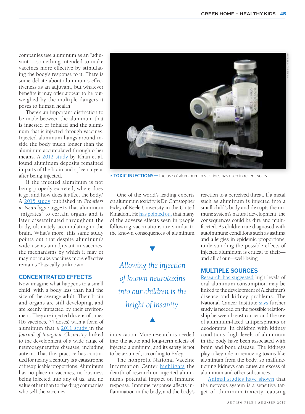companies use aluminum as an "adjuvant"—something intended to make vaccines more effective by stimulating the body's response to it. There is some debate about aluminum's effectiveness as an adjuvant, but whatever benefits it may offer appear to be outweighed by the multiple dangers it poses to human health.

There's an important distinction to be made between the aluminum that is ingested or inhaled and the aluminum that is injected through vaccines. Injected aluminum hangs around inside the body much longer than the aluminum accumulated through other means. A [2012 study](https://urldefense.proofpoint.com/v2/url%3Fu%3Dhttps-3A__bmcmedicine.biomedcentral.com_articles_10.1186_1741-2D7015-2D11-2D99%26d%3DDwMFaQ%26c%3DlC2BOuyTwLhYUwx2vqZp6A4NC8GJH--j-GtKaBDeEwM%26r%3DkNpMZIj-3w4tX3Ph0oISiXDkQntYCCrRvR5ZVgUH4nY95W5rEhqwK-As7Vg9ocHv%26m%3DE3w_o8Dcj5hBmT955zDx_nZ25KkWa8mNjzddG3b0q9Y%26s%3DYRbt9M0AT2dHYcP9EHIagjate7btFG9HurWcWO017To%26e%3D) by Khan et al. found aluminum deposits remained in parts of the brain and spleen a year after being injected.

If the injected aluminum is not being properly excreted, where does it go, and how does it affect the body? A [2015 study](https://urldefense.proofpoint.com/v2/url%3Fu%3Dhttps-3A__www.ncbi.nlm.nih.gov_pmc_articles_PMC4318414_%26d%3DDwMFaQ%26c%3DlC2BOuyTwLhYUwx2vqZp6A4NC8GJH--j-GtKaBDeEwM%26r%3DkNpMZIj-3w4tX3Ph0oISiXDkQntYCCrRvR5ZVgUH4nY95W5rEhqwK-As7Vg9ocHv%26m%3DE3w_o8Dcj5hBmT955zDx_nZ25KkWa8mNjzddG3b0q9Y%26s%3DDqYUez0tbQT1pg2FWzvquu5ptqC7Dc8z2aJWHMYsKMo%26e%3D) published in *Frontiers in Neurology* suggests that aluminum "migrates" to certain organs and is later disseminated throughout the body, ultimately accumulating in the brain. What's more, this same study points out that despite aluminum's wide use as an adjuvant in vaccines, the mechanisms by which it may or may not make vaccines more effective remains "basically unknown."

#### **Concentrated Effects**

Now imagine what happens to a small child, with a body less than half the size of the average adult. Their brain and organs are still developing, and are keenly impacted by their environment. They are injected dozens of times (16 vaccines, 74 doses) with a form of aluminum that a [2011 study i](https://urldefense.proofpoint.com/v2/url%3Fu%3Dhttps-3A__www.ncbi.nlm.nih.gov_pubmed_22099159%26d%3DDwMFaQ%26c%3DlC2BOuyTwLhYUwx2vqZp6A4NC8GJH--j-GtKaBDeEwM%26r%3DkNpMZIj-3w4tX3Ph0oISiXDkQntYCCrRvR5ZVgUH4nY95W5rEhqwK-As7Vg9ocHv%26m%3DE3w_o8Dcj5hBmT955zDx_nZ25KkWa8mNjzddG3b0q9Y%26s%3DSmEDhLXaGHhn8atzkeFIktFziiBTkhPTFW417DAT3f4%26e%3D)n the *Journal of Inorganic Chemistry* linked to the development of a wide range of neurodegenerative diseases, including autism. That this practice has continued for nearly a century is a catastrophe of inexplicable proportions. Aluminum has no place in vaccines, no business being injected into any of us, and no value other than to the drug companies who sell the vaccines.



**TOXIC INJECTIONS**—The use of aluminum in vaccines has risen in recent years.

One of the world's leading experts on aluminum toxicity is Dr. Christopher Exley of Keele University in the United Kingdom. He [has pointed out](https://urldefense.proofpoint.com/v2/url%3Fu%3Dhttp-3A__www.collective-2Devolution.com_2017_01_15_the-2Deffect-2Dof-2Daluminum-2Din-2Dvaccines-2Don-2Dhumans_%26d%3DDwMFaQ%26c%3DlC2BOuyTwLhYUwx2vqZp6A4NC8GJH--j-GtKaBDeEwM%26r%3DkNpMZIj-3w4tX3Ph0oISiXDkQntYCCrRvR5ZVgUH4nY95W5rEhqwK-As7Vg9ocHv%26m%3DE3w_o8Dcj5hBmT955zDx_nZ25KkWa8mNjzddG3b0q9Y%26s%3DaoqStGelQwFMLGLaU6j0iD31sFEL4N0QlgQu7iejoNc%26e%3D) that many of the adverse effects seen in people following vaccinations are similar to the known consequences of aluminum

*Allowing the injection of known neurotoxins into our children is the height of insanity.*

intoxication. More research is needed into the acute and long-term effects of injected aluminum, and its safety is not to be assumed, according to Exley.

 $\blacktriangle$ 

The nonprofit National Vaccine Information Center [highlights](https://urldefense.proofpoint.com/v2/url%3Fu%3Dhttp-3A__www.nvic.org_Doctors-2DCorner_Lawrence-2DPalevsky_Aluminum-2Dand-2DVaccine-2DIngredients.aspx%26d%3DDwMFaQ%26c%3DlC2BOuyTwLhYUwx2vqZp6A4NC8GJH--j-GtKaBDeEwM%26r%3DkNpMZIj-3w4tX3Ph0oISiXDkQntYCCrRvR5ZVgUH4nY95W5rEhqwK-As7Vg9ocHv%26m%3DE3w_o8Dcj5hBmT955zDx_nZ25KkWa8mNjzddG3b0q9Y%26s%3DLV8p94sCWT9K2mUktvH0vNlWjaifcKPCRFBMYe6x360%26e%3D) the dearth of research on injected aluminum's potential impact on immune response. Immune response affects inflammation in the body, and the body's reaction to a perceived threat. If a metal such as aluminum is injected into a small child's body and disrupts the immune system's natural development, the consequences could be dire and multifaceted. As children are diagnosed with autoimmune conditions such as asthma and allergies in epidemic proportions, understanding the possible effects of injected aluminum is critical to their and all of our—well-being.

#### **Multiple Sources**

[Research has suggested](https://urldefense.proofpoint.com/v2/url%3Fu%3Dhttps-3A__www.atsdr.cdc.gov_toxfaqs_tf.asp-3Fid-3D190-26tid-3D34%26d%3DDwMFaQ%26c%3DlC2BOuyTwLhYUwx2vqZp6A4NC8GJH--j-GtKaBDeEwM%26r%3DkNpMZIj-3w4tX3Ph0oISiXDkQntYCCrRvR5ZVgUH4nY95W5rEhqwK-As7Vg9ocHv%26m%3DE3w_o8Dcj5hBmT955zDx_nZ25KkWa8mNjzddG3b0q9Y%26s%3DLTm9eFc4bfv15RgLPNXP1O5JHmLQ9qzcr_WU4zZb4vo%26e%3D) high levels of oral aluminum consumption may be linked to the development of Alzheimer's disease and kidney problems. The National Cancer Institute [says](https://urldefense.proofpoint.com/v2/url%3Fu%3Dhttps-3A__www.cancer.gov_about-2Dcancer_causes-2Dprevention_risk_myths_antiperspirants-2Dfact-2Dsheet%26d%3DDwMFaQ%26c%3DlC2BOuyTwLhYUwx2vqZp6A4NC8GJH--j-GtKaBDeEwM%26r%3DkNpMZIj-3w4tX3Ph0oISiXDkQntYCCrRvR5ZVgUH4nY95W5rEhqwK-As7Vg9ocHv%26m%3DE3w_o8Dcj5hBmT955zDx_nZ25KkWa8mNjzddG3b0q9Y%26s%3DkdB-sSfBPvqkkKCaOGBb2mNjqehHlmsQqsyIl7jeBZc%26e%3D) further study is needed on the possible relationship between breast cancer and the use of aluminum-laced antiperspirants or deodorants. In children with kidney conditions, high levels of aluminum in the body have been associated with brain and bone disease. The kidneys play a key role in removing toxins like aluminum from the body, so malfunctioning kidneys can cause an excess of aluminum and other substances.

[Animal studies have shown](https://urldefense.proofpoint.com/v2/url%3Fu%3Dhttps-3A__www.atsdr.cdc.gov_toxfaqs_tf.asp-3Fid-3D190-26tid-3D34%26d%3DDwMFaQ%26c%3DlC2BOuyTwLhYUwx2vqZp6A4NC8GJH--j-GtKaBDeEwM%26r%3DkNpMZIj-3w4tX3Ph0oISiXDkQntYCCrRvR5ZVgUH4nY95W5rEhqwK-As7Vg9ocHv%26m%3DE3w_o8Dcj5hBmT955zDx_nZ25KkWa8mNjzddG3b0q9Y%26s%3DLTm9eFc4bfv15RgLPNXP1O5JHmLQ9qzcr_WU4zZb4vo%26e%3D) that the nervous system is a sensitive target of aluminum toxicity, causing